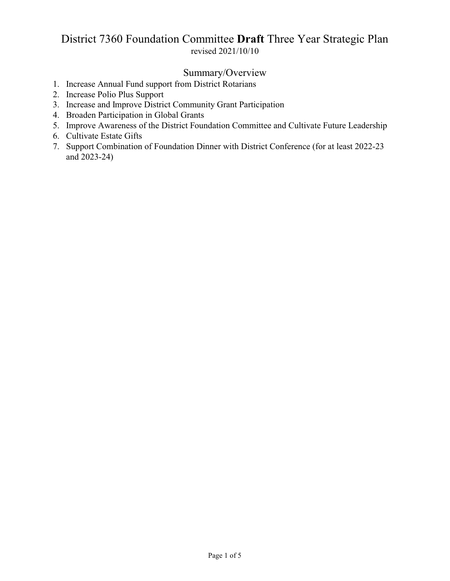# District 7360 Foundation Committee **Draft** Three Year Strategic Plan revised 2021/10/10

# Summary/Overview

- 1. Increase Annual Fund support from District Rotarians
- 2. Increase Polio Plus Support
- 3. Increase and Improve District Community Grant Participation
- 4. Broaden Participation in Global Grants
- 5. Improve Awareness of the District Foundation Committee and Cultivate Future Leadership
- 6. Cultivate Estate Gifts
- 7. Support Combination of Foundation Dinner with District Conference (for at least 2022-23 and 2023-24)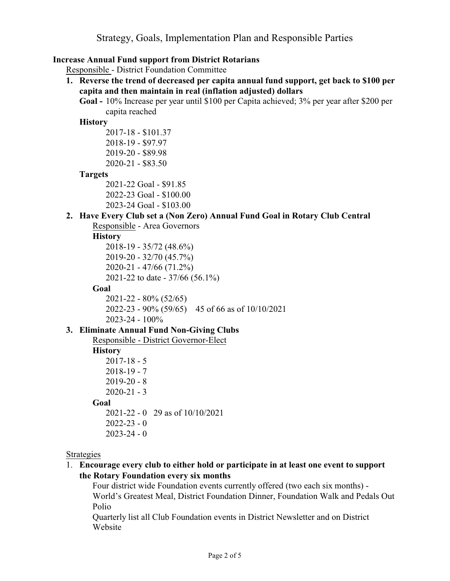# **Increase Annual Fund support from District Rotarians**

Responsible - District Foundation Committee

- **1. Reverse the trend of decreased per capita annual fund support, get back to \$100 per capita and then maintain in real (inflation adjusted) dollars**
	- **Goal -** 10% Increase per year until \$100 per Capita achieved; 3% per year after \$200 per capita reached

### **History**

2017-18 - \$101.37 2018-19 - \$97.97 2019-20 - \$89.98 2020-21 - \$83.50

# **Targets**

2021-22 Goal - \$91.85 2022-23 Goal - \$100.00

2023-24 Goal - \$103.00

# **2. Have Every Club set a (Non Zero) Annual Fund Goal in Rotary Club Central**

Responsible - Area Governors

# **History**

2018-19 - 35/72 (48.6%) 2019-20 - 32/70 (45.7%) 2020-21 - 47/66 (71.2%) 2021-22 to date - 37/66 (56.1%)

### **Goal**

2021-22 - 80% (52/65) 2022-23 - 90% (59/65) 45 of 66 as of 10/10/2021 2023-24 - 100%

# **3. Eliminate Annual Fund Non-Giving Clubs**

Responsible - District Governor-Elect

# **History**

2017-18 - 5 2018-19 - 7  $2019-20 - 8$  $2020 - 21 - 3$ **Goal** 2021-22 - 0 29 as of 10/10/2021  $2022 - 23 - 0$  $2023 - 24 - 0$ 

#### Strategies

1. **Encourage every club to either hold or participate in at least one event to support the Rotary Foundation every six months**

Four district wide Foundation events currently offered (two each six months) - World's Greatest Meal, District Foundation Dinner, Foundation Walk and Pedals Out Polio

Quarterly list all Club Foundation events in District Newsletter and on District Website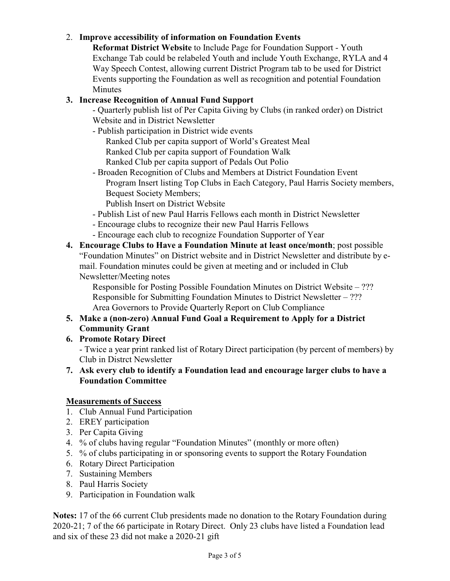# 2. **Improve accessibility of information on Foundation Events**

**Reformat District Website** to Include Page for Foundation Support - Youth Exchange Tab could be relabeled Youth and include Youth Exchange, RYLA and 4 Way Speech Contest, allowing current District Program tab to be used for District Events supporting the Foundation as well as recognition and potential Foundation Minutes

# **3. Increase Recognition of Annual Fund Support**

- Quarterly publish list of Per Capita Giving by Clubs (in ranked order) on District Website and in District Newsletter

- Publish participation in District wide events Ranked Club per capita support of World's Greatest Meal Ranked Club per capita support of Foundation Walk Ranked Club per capita support of Pedals Out Polio
- Broaden Recognition of Clubs and Members at District Foundation Event Program Insert listing Top Clubs in Each Category, Paul Harris Society members, Bequest Society Members;
	- Publish Insert on District Website
- Publish List of new Paul Harris Fellows each month in District Newsletter
- Encourage clubs to recognize their new Paul Harris Fellows
- Encourage each club to recognize Foundation Supporter of Year
- **4. Encourage Clubs to Have a Foundation Minute at least once/month**; post possible "Foundation Minutes" on District website and in District Newsletter and distribute by email. Foundation minutes could be given at meeting and or included in Club Newsletter/Meeting notes

Responsible for Posting Possible Foundation Minutes on District Website – ??? Responsible for Submitting Foundation Minutes to District Newsletter – ??? Area Governors to Provide Quarterly Report on Club Compliance

# **5. Make a (non-zero) Annual Fund Goal a Requirement to Apply for a District Community Grant**

**6. Promote Rotary Direct**

- Twice a year print ranked list of Rotary Direct participation (by percent of members) by Club in Distrct Newsletter

**7. Ask every club to identify a Foundation lead and encourage larger clubs to have a Foundation Committee**

# **Measurements of Success**

- 1. Club Annual Fund Participation
- 2. EREY participation
- 3. Per Capita Giving
- 4. % of clubs having regular "Foundation Minutes" (monthly or more often)
- 5. % of clubs participating in or sponsoring events to support the Rotary Foundation
- 6. Rotary Direct Participation
- 7. Sustaining Members
- 8. Paul Harris Society
- 9. Participation in Foundation walk

**Notes:** 17 of the 66 current Club presidents made no donation to the Rotary Foundation during 2020-21; 7 of the 66 participate in Rotary Direct. Only 23 clubs have listed a Foundation lead and six of these 23 did not make a 2020-21 gift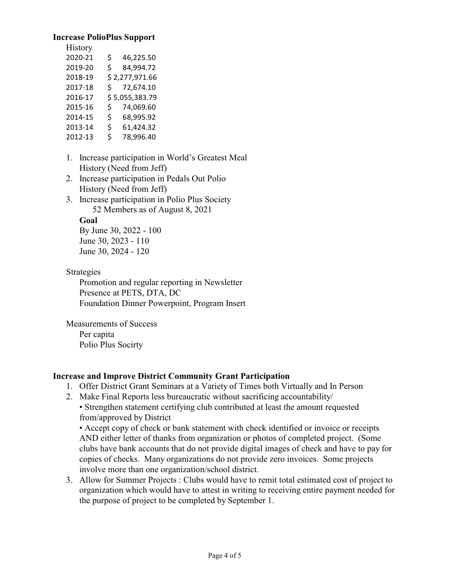#### **Increase PolioPlus Support**

| <b>History</b> |                  |  |
|----------------|------------------|--|
| 2020-21        | 46,225.50<br>\$  |  |
| 2019-20        | 84,994.72<br>\$  |  |
| 2018-19        | \$2,277,971.66   |  |
| 2017-18        | 72,674.10<br>Ś.  |  |
| 2016-17        | \$5,055,383.79   |  |
| 2015-16        | 74,069.60<br>\$  |  |
| 2014-15        | \$<br>68,995.92  |  |
| 2013-14        | 61,424.32<br>\$. |  |
| 2012-13        | 78,996.40<br>\$  |  |

- 1. Increase participation in World's Greatest Meal History (Need from Jeff)
- 2. Increase participation in Pedals Out Polio History (Need from Jeff)
- 3. Increase participation in Polio Plus Society 52 Members as of August 8, 2021

#### **Goal**

By June 30, 2022 - 100 June 30, 2023 - 110 June 30, 2024 - 120

Strategies

Promotion and regular reporting in Newsletter Presence at PETS, DTA, DC Foundation Dinner Powerpoint, Program Insert

Measurements of Success Per capita Polio Plus Socirty

# **Increase and Improve District Community Grant Participation**

- 1. Offer District Grant Seminars at a Variety of Times both Virtually and In Person
- 2. Make Final Reports less bureaucratic without sacrificing accountability/

• Strengthen statement certifying club contributed at least the amount requested from/approved by District

• Accept copy of check or bank statement with check identified or invoice or receipts AND either letter of thanks from organization or photos of completed project. (Some clubs have bank accounts that do not provide digital images of check and have to pay for copies of checks. Many organizations do not provide zero invoices. Some projects involve more than one organization/school district.

3. Allow for Summer Projects : Clubs would have to remit total estimated cost of project to organization which would have to attest in writing to receiving entire payment needed for the purpose of project to be completed by September 1.